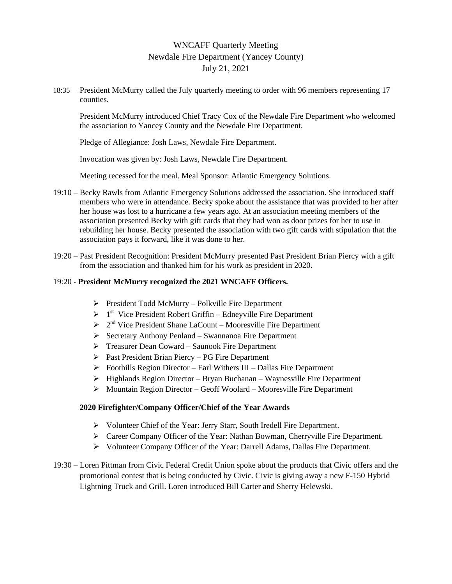# WNCAFF Quarterly Meeting Newdale Fire Department (Yancey County) July 21, 2021

18:35 – President McMurry called the July quarterly meeting to order with 96 members representing 17 counties.

President McMurry introduced Chief Tracy Cox of the Newdale Fire Department who welcomed the association to Yancey County and the Newdale Fire Department.

Pledge of Allegiance: Josh Laws, Newdale Fire Department.

Invocation was given by: Josh Laws, Newdale Fire Department.

Meeting recessed for the meal. Meal Sponsor: Atlantic Emergency Solutions.

- 19:10 Becky Rawls from Atlantic Emergency Solutions addressed the association. She introduced staff members who were in attendance. Becky spoke about the assistance that was provided to her after her house was lost to a hurricane a few years ago. At an association meeting members of the association presented Becky with gift cards that they had won as door prizes for her to use in rebuilding her house. Becky presented the association with two gift cards with stipulation that the association pays it forward, like it was done to her.
- 19:20 Past President Recognition: President McMurry presented Past President Brian Piercy with a gift from the association and thanked him for his work as president in 2020.

#### 19:20 - **President McMurry recognized the 2021 WNCAFF Officers.**

- $\triangleright$  President Todd McMurry Polkville Fire Department
- $\triangleright$  1<sup>st</sup> Vice President Robert Griffin Edneyville Fire Department
- $\geq 2^{nd}$  Vice President Shane LaCount Mooresville Fire Department
- $\triangleright$  Secretary Anthony Penland Swannanoa Fire Department
- Treasurer Dean Coward Saunook Fire Department
- $\triangleright$  Past President Brian Piercy PG Fire Department
- $\triangleright$  Foothills Region Director Earl Withers III Dallas Fire Department
- $\triangleright$  Highlands Region Director Bryan Buchanan Waynesville Fire Department
- Mountain Region Director Geoff Woolard Mooresville Fire Department

#### **2020 Firefighter/Company Officer/Chief of the Year Awards**

- Volunteer Chief of the Year: Jerry Starr, South Iredell Fire Department.
- Career Company Officer of the Year: Nathan Bowman, Cherryville Fire Department.
- Volunteer Company Officer of the Year: Darrell Adams, Dallas Fire Department.
- 19:30 Loren Pittman from Civic Federal Credit Union spoke about the products that Civic offers and the promotional contest that is being conducted by Civic. Civic is giving away a new F-150 Hybrid Lightning Truck and Grill. Loren introduced Bill Carter and Sherry Helewski.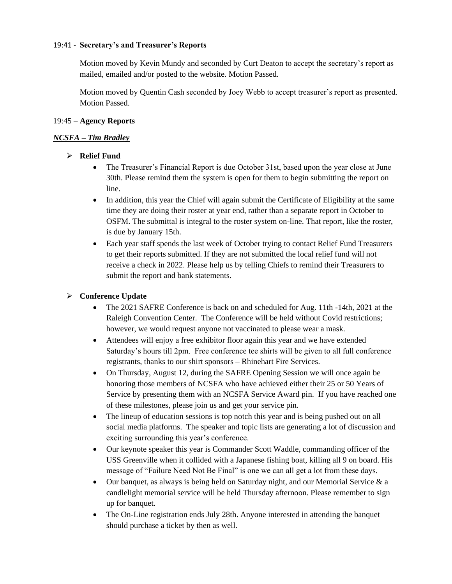#### 19:41 - **Secretary's and Treasurer's Reports**

Motion moved by Kevin Mundy and seconded by Curt Deaton to accept the secretary's report as mailed, emailed and/or posted to the website. Motion Passed.

Motion moved by Quentin Cash seconded by Joey Webb to accept treasurer's report as presented. Motion Passed.

#### 19:45 – **Agency Reports**

#### *NCSFA – Tim Bradley*

### **Relief Fund**

- The Treasurer's Financial Report is due October 31st, based upon the year close at June 30th. Please remind them the system is open for them to begin submitting the report on line.
- In addition, this year the Chief will again submit the Certificate of Eligibility at the same time they are doing their roster at year end, rather than a separate report in October to OSFM. The submittal is integral to the roster system on-line. That report, like the roster, is due by January 15th.
- Each year staff spends the last week of October trying to contact Relief Fund Treasurers to get their reports submitted. If they are not submitted the local relief fund will not receive a check in 2022. Please help us by telling Chiefs to remind their Treasurers to submit the report and bank statements.

### **Conference Update**

- The 2021 SAFRE Conference is back on and scheduled for Aug. 11th -14th, 2021 at the Raleigh Convention Center. The Conference will be held without Covid restrictions; however, we would request anyone not vaccinated to please wear a mask.
- Attendees will enjoy a free exhibitor floor again this year and we have extended Saturday's hours till 2pm. Free conference tee shirts will be given to all full conference registrants, thanks to our shirt sponsors – Rhinehart Fire Services.
- On Thursday, August 12, during the SAFRE Opening Session we will once again be honoring those members of NCSFA who have achieved either their 25 or 50 Years of Service by presenting them with an NCSFA Service Award pin. If you have reached one of these milestones, please join us and get your service pin.
- The lineup of education sessions is top notch this year and is being pushed out on all social media platforms. The speaker and topic lists are generating a lot of discussion and exciting surrounding this year's conference.
- Our keynote speaker this year is Commander Scott Waddle, commanding officer of the USS Greenville when it collided with a Japanese fishing boat, killing all 9 on board. His message of "Failure Need Not Be Final" is one we can all get a lot from these days.
- Our banquet, as always is being held on Saturday night, and our Memorial Service  $\&$  a candlelight memorial service will be held Thursday afternoon. Please remember to sign up for banquet.
- The On-Line registration ends July 28th. Anyone interested in attending the banquet should purchase a ticket by then as well.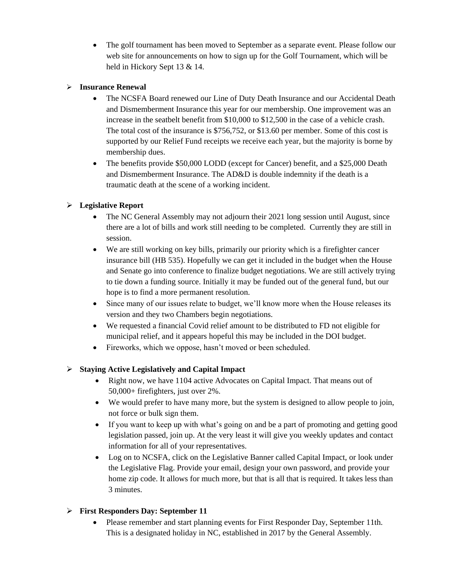The golf tournament has been moved to September as a separate event. Please follow our web site for announcements on how to sign up for the Golf Tournament, which will be held in Hickory Sept 13 & 14.

### **Insurance Renewal**

- The NCSFA Board renewed our Line of Duty Death Insurance and our Accidental Death and Dismemberment Insurance this year for our membership. One improvement was an increase in the seatbelt benefit from \$10,000 to \$12,500 in the case of a vehicle crash. The total cost of the insurance is \$756,752, or \$13.60 per member. Some of this cost is supported by our Relief Fund receipts we receive each year, but the majority is borne by membership dues.
- The benefits provide \$50,000 LODD (except for Cancer) benefit, and a \$25,000 Death and Dismemberment Insurance. The AD&D is double indemnity if the death is a traumatic death at the scene of a working incident.

# **Legislative Report**

- The NC General Assembly may not adjourn their 2021 long session until August, since there are a lot of bills and work still needing to be completed. Currently they are still in session.
- We are still working on key bills, primarily our priority which is a firefighter cancer insurance bill (HB 535). Hopefully we can get it included in the budget when the House and Senate go into conference to finalize budget negotiations. We are still actively trying to tie down a funding source. Initially it may be funded out of the general fund, but our hope is to find a more permanent resolution.
- Since many of our issues relate to budget, we'll know more when the House releases its version and they two Chambers begin negotiations.
- We requested a financial Covid relief amount to be distributed to FD not eligible for municipal relief, and it appears hopeful this may be included in the DOI budget.
- Fireworks, which we oppose, hasn't moved or been scheduled.

# **Staying Active Legislatively and Capital Impact**

- Right now, we have 1104 active Advocates on Capital Impact. That means out of 50,000+ firefighters, just over 2%.
- We would prefer to have many more, but the system is designed to allow people to join, not force or bulk sign them.
- If you want to keep up with what's going on and be a part of promoting and getting good legislation passed, join up. At the very least it will give you weekly updates and contact information for all of your representatives.
- Log on to NCSFA, click on the Legislative Banner called Capital Impact, or look under the Legislative Flag. Provide your email, design your own password, and provide your home zip code. It allows for much more, but that is all that is required. It takes less than 3 minutes.

# **First Responders Day: September 11**

 Please remember and start planning events for First Responder Day, September 11th. This is a designated holiday in NC, established in 2017 by the General Assembly.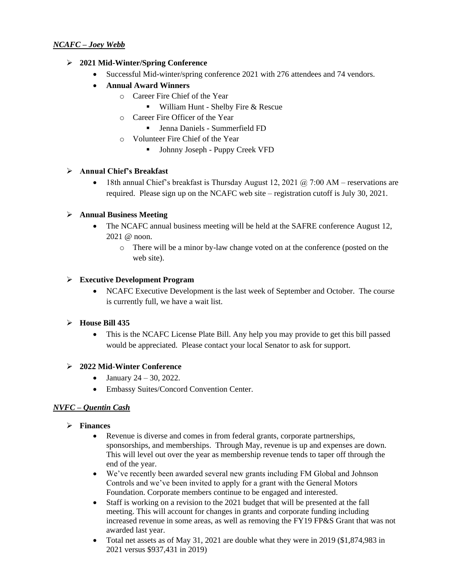#### **2021 Mid-Winter/Spring Conference**

- Successful Mid-winter/spring conference 2021 with 276 attendees and 74 vendors.
- **Annual Award Winners**
	- o Career Fire Chief of the Year
		- William Hunt Shelby Fire & Rescue
	- o Career Fire Officer of the Year
		- Jenna Daniels Summerfield FD
	- o Volunteer Fire Chief of the Year
		- Johnny Joseph Puppy Creek VFD

### **Annual Chief's Breakfast**

• 18th annual Chief's breakfast is Thursday August 12, 2021  $@$  7:00 AM – reservations are required. Please sign up on the NCAFC web site – registration cutoff is July 30, 2021.

### **Annual Business Meeting**

- The NCAFC annual business meeting will be held at the SAFRE conference August 12, 2021 @ noon.
	- o There will be a minor by-law change voted on at the conference (posted on the web site).

#### **Executive Development Program**

 NCAFC Executive Development is the last week of September and October. The course is currently full, we have a wait list.

### **House Bill 435**

 This is the NCAFC License Plate Bill. Any help you may provide to get this bill passed would be appreciated. Please contact your local Senator to ask for support.

### **2022 Mid-Winter Conference**

- January  $24 30$ , 2022.
- Embassy Suites/Concord Convention Center.

### *NVFC – Quentin Cash*

- **Finances**
	- Revenue is diverse and comes in from federal grants, corporate partnerships, sponsorships, and memberships. Through May, revenue is up and expenses are down. This will level out over the year as membership revenue tends to taper off through the end of the year.
	- We've recently been awarded several new grants including FM Global and Johnson Controls and we've been invited to apply for a grant with the General Motors Foundation. Corporate members continue to be engaged and interested.
	- Staff is working on a revision to the 2021 budget that will be presented at the fall meeting. This will account for changes in grants and corporate funding including increased revenue in some areas, as well as removing the FY19 FP&S Grant that was not awarded last year.
	- Total net assets as of May 31, 2021 are double what they were in 2019 (\$1,874,983 in 2021 versus \$937,431 in 2019)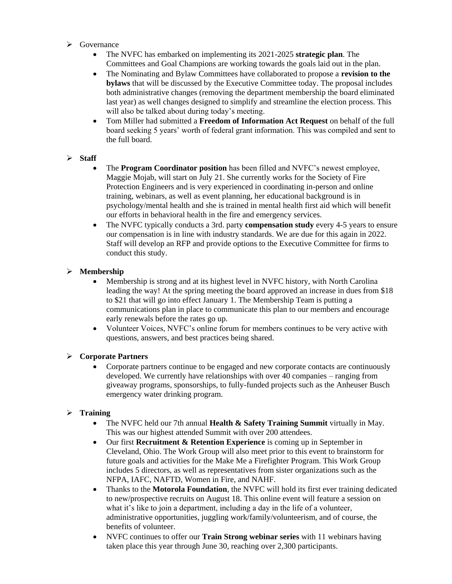- $\triangleright$  Governance
	- The NVFC has embarked on implementing its 2021-2025 **strategic plan**. The Committees and Goal Champions are working towards the goals laid out in the plan.
	- The Nominating and Bylaw Committees have collaborated to propose a **revision to the bylaws** that will be discussed by the Executive Committee today. The proposal includes both administrative changes (removing the department membership the board eliminated last year) as well changes designed to simplify and streamline the election process. This will also be talked about during today's meeting.
	- Tom Miller had submitted a **Freedom of Information Act Request** on behalf of the full board seeking 5 years' worth of federal grant information. This was compiled and sent to the full board.

#### **Staff**

- The **Program Coordinator position** has been filled and NVFC's newest employee, Maggie Mojab, will start on July 21. She currently works for the Society of Fire Protection Engineers and is very experienced in coordinating in-person and online training, webinars, as well as event planning, her educational background is in psychology/mental health and she is trained in mental health first aid which will benefit our efforts in behavioral health in the fire and emergency services.
- The NVFC typically conducts a 3rd. party **compensation study** every 4-5 years to ensure our compensation is in line with industry standards. We are due for this again in 2022. Staff will develop an RFP and provide options to the Executive Committee for firms to conduct this study.

### **Membership**

- Membership is strong and at its highest level in NVFC history, with North Carolina leading the way! At the spring meeting the board approved an increase in dues from \$18 to \$21 that will go into effect January 1. The Membership Team is putting a communications plan in place to communicate this plan to our members and encourage early renewals before the rates go up.
- Volunteer Voices, NVFC's online forum for members continues to be very active with questions, answers, and best practices being shared.

#### **Corporate Partners**

• Corporate partners continue to be engaged and new corporate contacts are continuously developed. We currently have relationships with over 40 companies – ranging from giveaway programs, sponsorships, to fully-funded projects such as the Anheuser Busch emergency water drinking program.

### **Training**

- The NVFC held our 7th annual **Health & Safety Training Summit** virtually in May. This was our highest attended Summit with over 200 attendees.
- Our first **Recruitment & Retention Experience** is coming up in September in Cleveland, Ohio. The Work Group will also meet prior to this event to brainstorm for future goals and activities for the Make Me a Firefighter Program. This Work Group includes 5 directors, as well as representatives from sister organizations such as the NFPA, IAFC, NAFTD, Women in Fire, and NAHF.
- Thanks to the **Motorola Foundation**, the NVFC will hold its first ever training dedicated to new/prospective recruits on August 18. This online event will feature a session on what it's like to join a department, including a day in the life of a volunteer, administrative opportunities, juggling work/family/volunteerism, and of course, the benefits of volunteer.
- NVFC continues to offer our **Train Strong webinar series** with 11 webinars having taken place this year through June 30, reaching over 2,300 participants.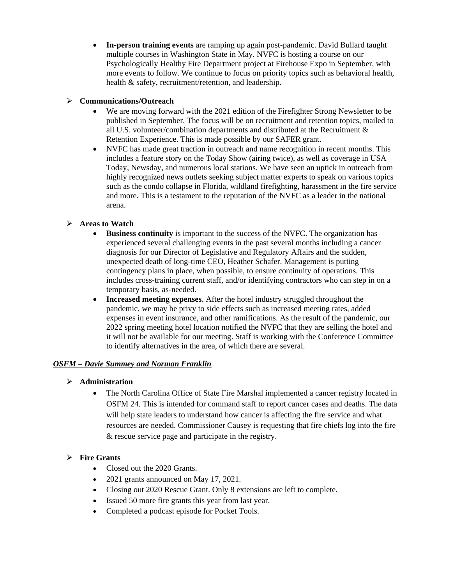**In-person training events** are ramping up again post-pandemic. David Bullard taught multiple courses in Washington State in May. NVFC is hosting a course on our Psychologically Healthy Fire Department project at Firehouse Expo in September, with more events to follow. We continue to focus on priority topics such as behavioral health, health & safety, recruitment/retention, and leadership.

### **Communications/Outreach**

- We are moving forward with the 2021 edition of the Firefighter Strong Newsletter to be published in September. The focus will be on recruitment and retention topics, mailed to all U.S. volunteer/combination departments and distributed at the Recruitment & Retention Experience. This is made possible by our SAFER grant.
- NVFC has made great traction in outreach and name recognition in recent months. This includes a feature story on the Today Show (airing twice), as well as coverage in USA Today, Newsday, and numerous local stations. We have seen an uptick in outreach from highly recognized news outlets seeking subject matter experts to speak on various topics such as the condo collapse in Florida, wildland firefighting, harassment in the fire service and more. This is a testament to the reputation of the NVFC as a leader in the national arena.

### **Areas to Watch**

- **Business continuity** is important to the success of the NVFC. The organization has experienced several challenging events in the past several months including a cancer diagnosis for our Director of Legislative and Regulatory Affairs and the sudden, unexpected death of long-time CEO, Heather Schafer. Management is putting contingency plans in place, when possible, to ensure continuity of operations. This includes cross-training current staff, and/or identifying contractors who can step in on a temporary basis, as-needed.
- **Increased meeting expenses**. After the hotel industry struggled throughout the pandemic, we may be privy to side effects such as increased meeting rates, added expenses in event insurance, and other ramifications. As the result of the pandemic, our 2022 spring meeting hotel location notified the NVFC that they are selling the hotel and it will not be available for our meeting. Staff is working with the Conference Committee to identify alternatives in the area, of which there are several.

### *OSFM – Davie Summey and Norman Franklin*

- **Administration**
	- The North Carolina Office of State Fire Marshal implemented a cancer registry located in OSFM 24. This is intended for command staff to report cancer cases and deaths. The data will help state leaders to understand how cancer is affecting the fire service and what resources are needed. Commissioner Causey is requesting that fire chiefs log into the fire & rescue service page and participate in the registry.

### **Fire Grants**

- Closed out the 2020 Grants.
- 2021 grants announced on May 17, 2021.
- Closing out 2020 Rescue Grant. Only 8 extensions are left to complete.
- Issued 50 more fire grants this year from last year.
- Completed a podcast episode for Pocket Tools.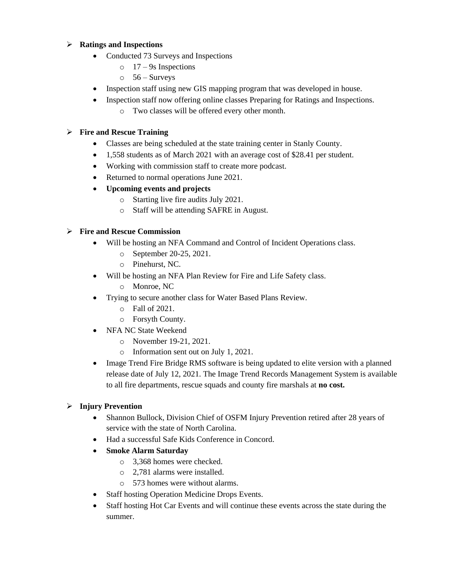### **Ratings and Inspections**

- Conducted 73 Surveys and Inspections
	- $\circ$  17 9s Inspections
	- $\circ$  56 Surveys
- Inspection staff using new GIS mapping program that was developed in house.
- Inspection staff now offering online classes Preparing for Ratings and Inspections.
	- o Two classes will be offered every other month.

### **Fire and Rescue Training**

- Classes are being scheduled at the state training center in Stanly County.
- 1,558 students as of March 2021 with an average cost of \$28.41 per student.
- Working with commission staff to create more podcast.
- Returned to normal operations June 2021.
- **Upcoming events and projects**
	- o Starting live fire audits July 2021.
	- o Staff will be attending SAFRE in August.

### **Fire and Rescue Commission**

- Will be hosting an NFA Command and Control of Incident Operations class.
	- o September 20-25, 2021.
	- o Pinehurst, NC.
- Will be hosting an NFA Plan Review for Fire and Life Safety class.
	- o Monroe, NC
- Trying to secure another class for Water Based Plans Review.
	- o Fall of 2021.
	- o Forsyth County.
- NFA NC State Weekend
	- o November 19-21, 2021.
	- o Information sent out on July 1, 2021.
- Image Trend Fire Bridge RMS software is being updated to elite version with a planned release date of July 12, 2021. The Image Trend Records Management System is available to all fire departments, rescue squads and county fire marshals at **no cost.**

# **Injury Prevention**

- Shannon Bullock, Division Chief of OSFM Injury Prevention retired after 28 years of service with the state of North Carolina.
- Had a successful Safe Kids Conference in Concord.
- **Smoke Alarm Saturday**
	- o 3,368 homes were checked.
	- o 2,781 alarms were installed.
	- o 573 homes were without alarms.
- Staff hosting Operation Medicine Drops Events.
- Staff hosting Hot Car Events and will continue these events across the state during the summer.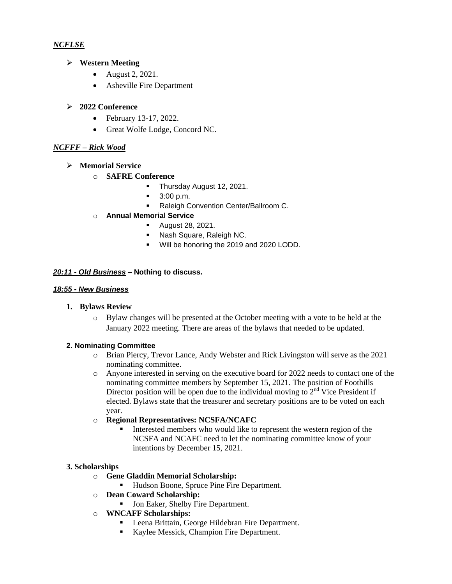### *NCFLSE*

### **Western Meeting**

- August 2, 2021.
- Asheville Fire Department

### **2022 Conference**

- February 13-17, 2022.
- Great Wolfe Lodge, Concord NC.

### *NCFFF – Rick Wood*

- **Memorial Service**
	- o **SAFRE Conference**
		- **Thursday August 12, 2021.**
		- $\blacksquare$  3:00 p.m.
		- **Raleigh Convention Center/Ballroom C.**

### o **Annual Memorial Service**

- **August 28, 2021.**
- **Nash Square, Raleigh NC.**
- **Will be honoring the 2019 and 2020 LODD.**

### *20:11 - Old Business –* **Nothing to discuss.**

#### *18:55 - New Business*

#### **1. Bylaws Review**

o Bylaw changes will be presented at the October meeting with a vote to be held at the January 2022 meeting. There are areas of the bylaws that needed to be updated.

### **2**. **Nominating Committee**

- o Brian Piercy, Trevor Lance, Andy Webster and Rick Livingston will serve as the 2021 nominating committee.
- o Anyone interested in serving on the executive board for 2022 needs to contact one of the nominating committee members by September 15, 2021. The position of Foothills Director position will be open due to the individual moving to  $2<sup>nd</sup>$  Vice President if elected. Bylaws state that the treasurer and secretary positions are to be voted on each year.
- o **Regional Representatives: NCSFA/NCAFC**
	- Interested members who would like to represent the western region of the NCSFA and NCAFC need to let the nominating committee know of your intentions by December 15, 2021.

### **3. Scholarships**

- o **Gene Gladdin Memorial Scholarship:** 
	- Hudson Boone, Spruce Pine Fire Department.
- o **Dean Coward Scholarship:** 
	- **Jon Eaker, Shelby Fire Department.**
- o **WNCAFF Scholarships:**
	- **-** Leena Brittain, George Hildebran Fire Department.
	- Kaylee Messick, Champion Fire Department.